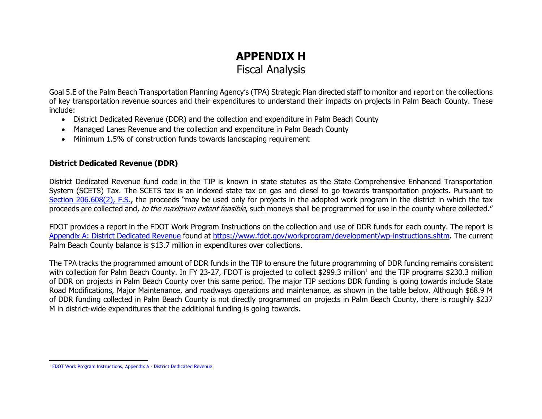## <span id="page-0-0"></span>**APPENDIX H**  Fiscal Analysis

Goal 5.E of the Palm Beach Transportation Planning Agency's (TPA) Strategic Plan directed staff to monitor and report on the collections of key transportation revenue sources and their expenditures to understand their impacts on projects in Palm Beach County. These include:

- District Dedicated Revenue (DDR) and the collection and expenditure in Palm Beach County
- Managed Lanes Revenue and the collection and expenditure in Palm Beach County
- Minimum 1.5% of construction funds towards landscaping requirement

## **District Dedicated Revenue (DDR)**

District Dedicated Revenue fund code in the TIP is known in state statutes as the State Comprehensive Enhanced Transportation System (SCETS) Tax. The SCETS tax is an indexed state tax on gas and diesel to go towards transportation projects. Pursuant to [Section 206.608\(2\), F.S.,](http://www.leg.state.fl.us/Statutes/index.cfm?App_mode=Display_Statute&Search_String=&URL=0200-0299/0206/Sections/0206.608.html) the proceeds "may be used only for projects in the adopted work program in the district in which the tax proceeds are collected and, to the maximum extent feasible, such moneys shall be programmed for use in the county where collected."

FDOT provides a report in the FDOT Work Program Instructions on the collection and use of DDR funds for each county. The report is [Appendix A: District Dedicated Revenue](https://fdotewp1.dot.state.fl.us/fmsupportapps/Documents/development/A7-DistrictDedicatedRevenue.pdf) found at [https://www.fdot.gov/workprogram/development/wp-instructions.shtm.](https://www.fdot.gov/workprogram/development/wp-instructions.shtm) The current Palm Beach County balance is \$13.7 million in expenditures over collections.

The TPA tracks the programmed amount of DDR funds in the TIP to ensure the future programming of DDR funding remains consistent with collection for Palm Beach County. In FY 23-27, FDOT is projected to collect \$299.3 million<sup>[1](#page-0-0)</sup> and the TIP programs \$230.3 million of DDR on projects in Palm Beach County over this same period. The major TIP sections DDR funding is going towards include State Road Modifications, Major Maintenance, and roadways operations and maintenance, as shown in the table below. Although \$68.9 M of DDR funding collected in Palm Beach County is not directly programmed on projects in Palm Beach County, there is roughly \$237 M in district-wide expenditures that the additional funding is going towards.

<sup>1</sup> [FDOT Work Program Instructions, Appendix A - District Dedicated Revenue](https://www.fdot.gov/workprogram/Development/WP-instructions.shtm)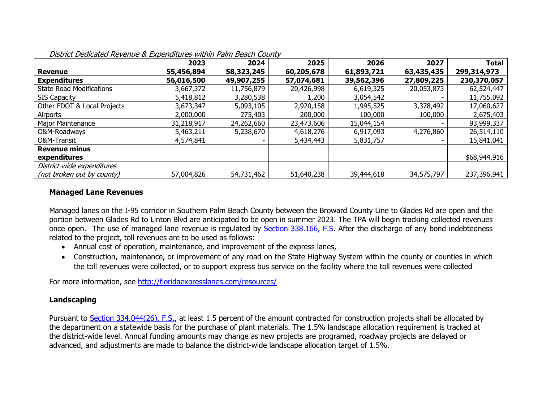|                                 | 2023       | 2024       | 2025       | 2026       | 2027       | <b>Total</b> |
|---------------------------------|------------|------------|------------|------------|------------|--------------|
| <b>Revenue</b>                  | 55,456,894 | 58,323,245 | 60,205,678 | 61,893,721 | 63,435,435 | 299,314,973  |
| <b>Expenditures</b>             | 56,016,500 | 49,907,255 | 57,074,681 | 39,562,396 | 27,809,225 | 230,370,057  |
| <b>State Road Modifications</b> | 3,667,372  | 11,756,879 | 20,426,998 | 6,619,325  | 20,053,873 | 62,524,447   |
| <b>SIS Capacity</b>             | 5,418,812  | 3,280,538  | 1,200      | 3,054,542  |            | 11,755,092   |
| Other FDOT & Local Projects     | 3,673,347  | 5,093,105  | 2,920,158  | 1,995,525  | 3,378,492  | 17,060,627   |
| Airports                        | 2,000,000  | 275,403    | 200,000    | 100,000    | 100,000    | 2,675,403    |
| Major Maintenance               | 31,218,917 | 24,262,660 | 23,473,606 | 15,044,154 |            | 93,999,337   |
| O&M-Roadways                    | 5,463,211  | 5,238,670  | 4,618,276  | 6,917,093  | 4,276,860  | 26,514,110   |
| O&M-Transit                     | 4,574,841  | -          | 5,434,443  | 5,831,757  |            | 15,841,041   |
| <b>Revenue minus</b>            |            |            |            |            |            |              |
| expenditures                    |            |            |            |            |            | \$68,944,916 |
| District-wide expenditures      |            |            |            |            |            |              |
| (not broken out by county)      | 57,004,826 | 54,731,462 | 51,640,238 | 39,444,618 | 34,575,797 | 237,396,941  |

District Dedicated Revenue & Expenditures within Palm Beach County

## **Managed Lane Revenues**

Managed lanes on the I-95 corridor in Southern Palm Beach County between the Broward County Line to Glades Rd are open and the portion between Glades Rd to Linton Blvd are anticipated to be open in summer 2023. The TPA will begin tracking collected revenues once open. The use of managed lane revenue is regulated by **Section 338.166, F.S.** After the discharge of any bond indebtedness related to the project, toll revenues are to be used as follows:

- Annual cost of operation, maintenance, and improvement of the express lanes,
- Construction, maintenance, or improvement of any road on the State Highway System within the county or counties in which the toll revenues were collected, or to support express bus service on the facility where the toll revenues were collected

For more information, see http://floridaexpresslanes.com/resources/

## **Landscaping**

Pursuant to Section 334.044(26), F.S., at least 1.5 percent of the amount contracted for construction projects shall be allocated by the department on a statewide basis for the purchase of plant materials. The 1.5% landscape allocation requirement is tracked at the district-wide level. Annual funding amounts may change as new projects are programed, roadway projects are delayed or advanced, and adjustments are made to balance the district-wide landscape allocation target of 1.5%.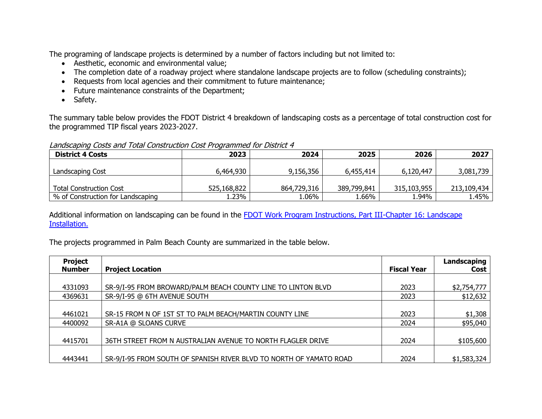The programing of landscape projects is determined by a number of factors including but not limited to:

- Aesthetic, economic and environmental value;
- The completion date of a roadway project where standalone landscape projects are to follow (scheduling constraints);
- Requests from local agencies and their commitment to future maintenance;
- Future maintenance constraints of the Department;
- Safety.

The summary table below provides the FDOT District 4 breakdown of landscaping costs as a percentage of total construction cost for the programmed TIP fiscal years 2023-2027.

Landscaping Costs and Total Construction Cost Programmed for District 4

| <b>District 4 Costs</b>           | 2023        | 2024        | 2025        | 2026        | 2027        |
|-----------------------------------|-------------|-------------|-------------|-------------|-------------|
|                                   |             |             |             |             |             |
| Landscaping Cost                  | 6,464,930   | 9,156,356   | 6,455,414   | 6,120,447   | 3,081,739   |
|                                   |             |             |             |             |             |
| <b>Total Construction Cost</b>    | 525,168,822 | 864,729,316 | 389,799,841 | 315,103,955 | 213,109,434 |
| % of Construction for Landscaping | 23%         | $1.06\%$    | .66%،       | 1.94%       | 1.45%       |

Additional information on landscaping can be found in the FDOT Work Program Instructions, Part III-Chapter 16: Landscape Installation.

The projects programmed in Palm Beach County are summarized in the table below.

| <b>Project</b><br><b>Number</b> | <b>Project Location</b>                                            | <b>Fiscal Year</b> | Landscaping<br>Cost |
|---------------------------------|--------------------------------------------------------------------|--------------------|---------------------|
|                                 |                                                                    |                    |                     |
| 4331093                         | SR-9/I-95 FROM BROWARD/PALM BEACH COUNTY LINE TO LINTON BLVD       | 2023               | \$2,754,777         |
| 4369631                         | SR-9/I-95 @ 6TH AVENUE SOUTH                                       | 2023               | \$12,632            |
|                                 |                                                                    |                    |                     |
| 4461021                         | SR-15 FROM N OF 1ST ST TO PALM BEACH/MARTIN COUNTY LINE            | 2023               | \$1,308             |
| 4400092                         | SR-A1A @ SLOANS CURVE                                              | 2024               | \$95,040            |
|                                 |                                                                    |                    |                     |
| 4415701                         | 36TH STREET FROM N AUSTRALIAN AVENUE TO NORTH FLAGLER DRIVE        | 2024               | \$105,600           |
|                                 |                                                                    |                    |                     |
| 4443441                         | SR-9/I-95 FROM SOUTH OF SPANISH RIVER BLVD TO NORTH OF YAMATO ROAD | 2024               | \$1,583,324         |